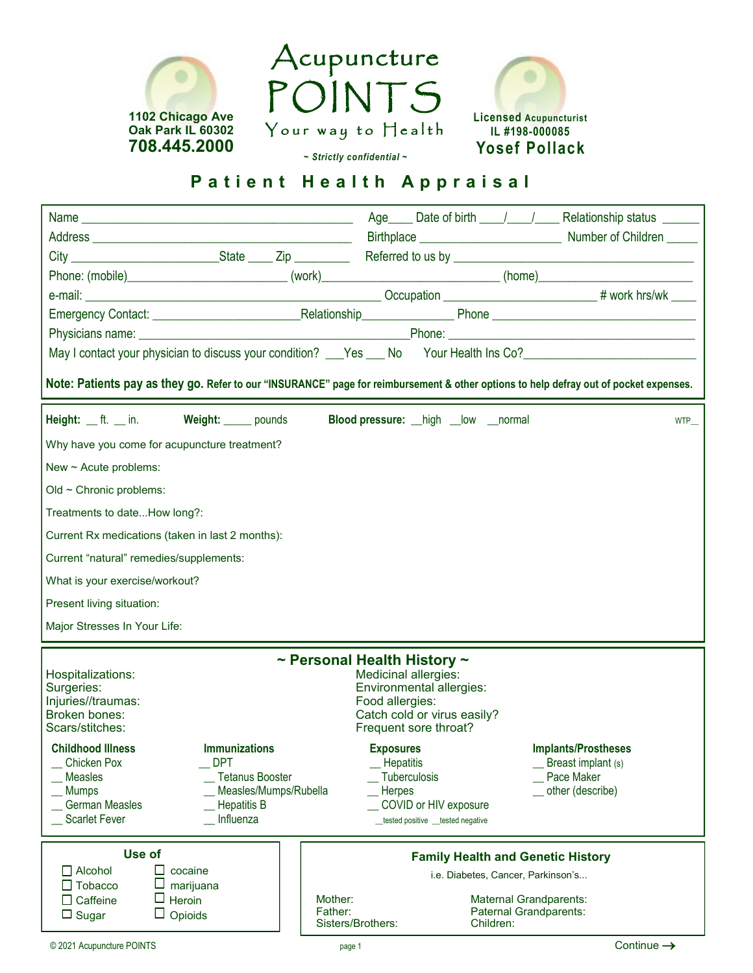





## *~ Strictly confidential ~*

## **Patient Health Appraisal**

| Phone: (mobile)________________________________(work)___________________________(home)________________________                        |                                |                                                      |                                     |                            |  |  |  |
|---------------------------------------------------------------------------------------------------------------------------------------|--------------------------------|------------------------------------------------------|-------------------------------------|----------------------------|--|--|--|
|                                                                                                                                       |                                |                                                      |                                     |                            |  |  |  |
|                                                                                                                                       |                                |                                                      |                                     |                            |  |  |  |
|                                                                                                                                       |                                |                                                      |                                     |                            |  |  |  |
| May I contact your physician to discuss your condition? ___Yes ___ No Your Health Ins Co?_____________________                        |                                |                                                      |                                     |                            |  |  |  |
| Note: Patients pay as they go. Refer to our "INSURANCE" page for reimbursement & other options to help defray out of pocket expenses. |                                |                                                      |                                     |                            |  |  |  |
| Height: ft. in. Weight: pounds                                                                                                        |                                | <b>Blood pressure:</b> high _low _normal             |                                     | <b>WTP</b>                 |  |  |  |
| Why have you come for acupuncture treatment?                                                                                          |                                |                                                      |                                     |                            |  |  |  |
| New ~ Acute problems:                                                                                                                 |                                |                                                      |                                     |                            |  |  |  |
| Old ~ Chronic problems:                                                                                                               |                                |                                                      |                                     |                            |  |  |  |
| Treatments to dateHow long?:                                                                                                          |                                |                                                      |                                     |                            |  |  |  |
|                                                                                                                                       |                                |                                                      |                                     |                            |  |  |  |
| Current Rx medications (taken in last 2 months):                                                                                      |                                |                                                      |                                     |                            |  |  |  |
| Current "natural" remedies/supplements:                                                                                               |                                |                                                      |                                     |                            |  |  |  |
|                                                                                                                                       | What is your exercise/workout? |                                                      |                                     |                            |  |  |  |
| Present living situation:                                                                                                             |                                |                                                      |                                     |                            |  |  |  |
| Major Stresses In Your Life:                                                                                                          |                                |                                                      |                                     |                            |  |  |  |
|                                                                                                                                       |                                | $\sim$ Personal Health History $\sim$                |                                     |                            |  |  |  |
| Hospitalizations:                                                                                                                     |                                | <b>Medicinal allergies:</b>                          |                                     |                            |  |  |  |
| Surgeries:<br>Injuries//traumas:                                                                                                      |                                | Environmental allergies:<br>Food allergies:          |                                     |                            |  |  |  |
| Broken bones:<br>Scars/stitches:                                                                                                      |                                | Catch cold or virus easily?<br>Frequent sore throat? |                                     |                            |  |  |  |
| <b>Childhood Illness</b><br><b>Immunizations</b>                                                                                      |                                |                                                      |                                     | <b>Implants/Prostheses</b> |  |  |  |
| <b>Chicken Pox</b><br><b>DPT</b>                                                                                                      |                                | <b>Exposures</b><br><b>Hepatitis</b>                 |                                     | Breast implant (s)         |  |  |  |
| <b>Measles</b><br><b>Tetanus Booster</b>                                                                                              |                                | <b>Tuberculosis</b>                                  |                                     | Pace Maker                 |  |  |  |
| <b>Mumps</b><br><b>German Measles</b><br><b>Hepatitis B</b>                                                                           | Measles/Mumps/Rubella          | Herpes<br>COVID or HIV exposure                      |                                     | other (describe)           |  |  |  |
| <b>Scarlet Fever</b><br>Influenza                                                                                                     |                                | _tested positive _tested negative                    |                                     |                            |  |  |  |
|                                                                                                                                       |                                |                                                      |                                     |                            |  |  |  |
| Use of<br>$\mathsf{L}$                                                                                                                |                                | <b>Family Health and Genetic History</b>             |                                     |                            |  |  |  |
| $\Box$ Alcohol<br>cocaine<br>$\Box$ Tobacco<br>marijuana                                                                              |                                |                                                      | i.e. Diabetes, Cancer, Parkinson's  |                            |  |  |  |
| $\Box$ Heroin<br>$\Box$ Caffeine                                                                                                      | Mother:                        |                                                      | <b>Maternal Grandparents:</b>       |                            |  |  |  |
| $\Box$ Opioids<br>$\Box$ Sugar                                                                                                        | Father:<br>Sisters/Brothers:   |                                                      | Paternal Grandparents:<br>Children: |                            |  |  |  |
| © 2021 Acupuncture POINTS                                                                                                             | page 1                         |                                                      |                                     | Continue $\rightarrow$     |  |  |  |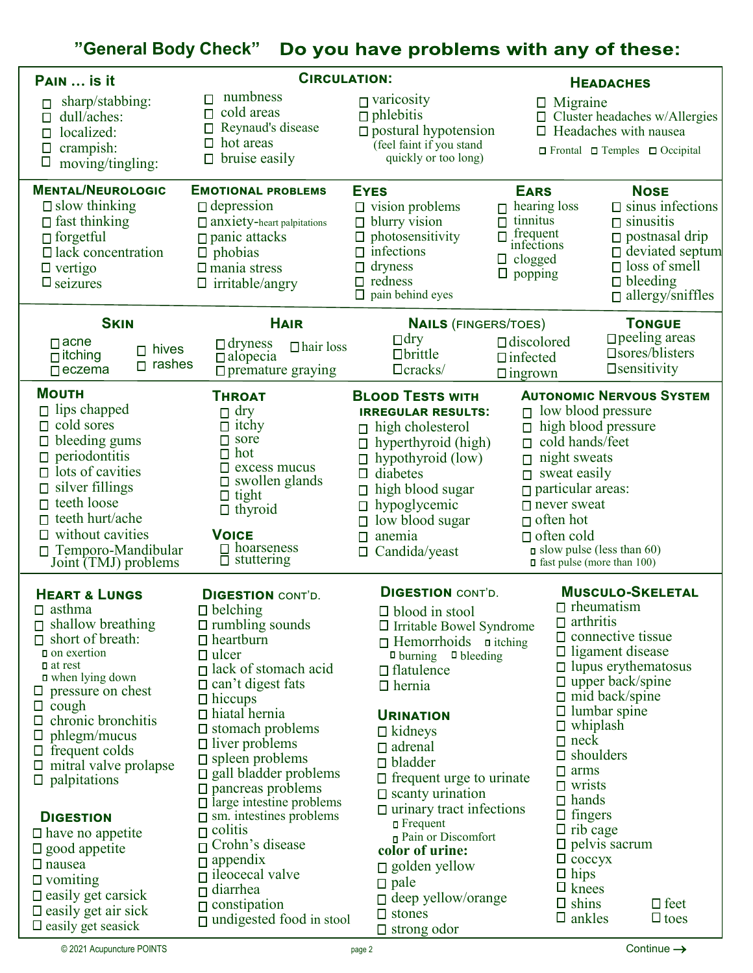## **"General Body Check"**

| PAIN  is it                                                                                                                                                                                                                                                                                                                                                          | <b>CIRCULATION:</b>                                                                                                                                                                                                                                                                                                                                                                         |                                                                                                                                                                                                                                                                                                                                              | <b>HEADACHES</b>                                                                                              |                                                                                                                                                                                                                                                                                                                                           |  |
|----------------------------------------------------------------------------------------------------------------------------------------------------------------------------------------------------------------------------------------------------------------------------------------------------------------------------------------------------------------------|---------------------------------------------------------------------------------------------------------------------------------------------------------------------------------------------------------------------------------------------------------------------------------------------------------------------------------------------------------------------------------------------|----------------------------------------------------------------------------------------------------------------------------------------------------------------------------------------------------------------------------------------------------------------------------------------------------------------------------------------------|---------------------------------------------------------------------------------------------------------------|-------------------------------------------------------------------------------------------------------------------------------------------------------------------------------------------------------------------------------------------------------------------------------------------------------------------------------------------|--|
| sharp/stabbing:<br>dull/aches:<br>П<br>localized:<br>П<br>crampish:<br>O<br>$\Box$<br>moving/tingling:                                                                                                                                                                                                                                                               | numbness<br>П<br>cold areas<br>П<br>Reynaud's disease<br>hot areas<br>$\Box$<br>bruise easily                                                                                                                                                                                                                                                                                               | $\Box$ varicosity<br>$\Box$ phlebitis<br>$\Box$ postural hypotension<br>(feel faint if you stand<br>quickly or too long)                                                                                                                                                                                                                     |                                                                                                               | $\Box$ Migraine<br>$\Box$ Cluster headaches w/Allergies<br>$\Box$ Headaches with nausea<br>$\Box$ Frontal $\Box$ Temples $\Box$ Occipital                                                                                                                                                                                                 |  |
| <b>MENTAL/NEUROLOGIC</b><br>$\Box$ slow thinking<br>$\Box$ fast thinking<br>$\Box$ forgetful<br>$\Box$ lack concentration<br>$\Box$ vertigo<br>$\square$ seizures                                                                                                                                                                                                    | <b>EMOTIONAL PROBLEMS</b><br>$\Box$ depression<br>$\Box$ anxiety-heart palpitations<br>$\Box$ panic attacks<br>$\Box$ phobias<br>$\Box$ mania stress<br>$\Box$ irritable/angry                                                                                                                                                                                                              | <b>EYES</b><br>$\Box$ vision problems<br>$\Box$ blurry vision<br>$\Box$ photosensitivity<br>$\Box$ infections<br>dryness<br>П<br>$\Box$ redness<br>$\Box$ pain behind eyes                                                                                                                                                                   | <b>EARS</b><br>hearing loss<br>П<br>tinnitus<br>П<br>frequent<br>infections<br>clogged<br>Ц<br>$\Box$ popping | <b>NOSE</b><br>$\Box$ sinus infections<br>$\Box$ sinusitis<br>$\Box$ postnasal drip<br>$\Box$ deviated septum<br>$\Box$ loss of smell<br>$\Box$ bleeding<br>$\Box$ allergy/sniffles                                                                                                                                                       |  |
| <b>SKIN</b>                                                                                                                                                                                                                                                                                                                                                          | <b>HAIR</b>                                                                                                                                                                                                                                                                                                                                                                                 | <b>NAILS (FINGERS/TOES)</b>                                                                                                                                                                                                                                                                                                                  |                                                                                                               | <b>TONGUE</b>                                                                                                                                                                                                                                                                                                                             |  |
| $\Box$ acne<br>$\Box$ hives<br>$\Box$ itching<br>$\Box$ rashes<br>$\Box$ eczema                                                                                                                                                                                                                                                                                      | $\Box$ dryness<br>$\Box$ hair loss<br>$\Box$ alopecia<br>$\Box$ premature graying                                                                                                                                                                                                                                                                                                           | $\Box$ dry<br>$\Box$ brittle<br>$\Box$ cracks/                                                                                                                                                                                                                                                                                               | $\Box$ discolored<br>$\Box$ infected<br>$\Box$ ingrown                                                        | $\Box$ peeling areas<br>$\square$ sores/blisters<br><b>O</b> sensitivity                                                                                                                                                                                                                                                                  |  |
| <b>MOUTH</b><br>$\Box$ lips chapped<br>$\Box$ cold sores<br>$\hfill\Box$ bleeding gums<br>$\Box$ periodontitis<br>$\Box$ lots of cavities<br>$\Box$ silver fillings<br>$\Box$ teeth loose<br>$\Box$ teeth hurt/ache<br>$\Box$ without cavities<br>Temporo-Mandibular<br>Joint (TMJ) problems                                                                         | <b>THROAT</b><br>$\Box$ dry<br>$\Box$ itchy<br>$\Box$ sore<br>$\Box$ hot<br>$\Box$ excess mucus<br>$\Box$ swollen glands<br>$\Box$ tight<br>$\Box$ thyroid<br><b>VOICE</b><br>$\Box$ hoarseness<br>$\Box$ stuttering                                                                                                                                                                        | <b>BLOOD TESTS WITH</b><br><b>IRREGULAR RESULTS:</b><br>high cholesterol<br>П<br>hyperthyroid (high)<br>П.<br>hypothyroid (low)<br>$\Box$<br>diabetes<br>0.<br>$\Box$ high blood sugar<br>$\Box$ hypoglycemic<br>low blood sugar<br>anemia<br>П.<br>Candida/yeast<br>$\Box$                                                                  |                                                                                                               | <b>AUTONOMIC NERVOUS SYSTEM</b><br>$\Box$ low blood pressure<br>high blood pressure<br>$\Box$ cold hands/feet<br>night sweats<br>$\Box$ sweat easily<br>$\Box$ particular areas:<br>$\Box$ never sweat<br>$\Box$ often hot<br>$\Box$ often cold<br>$\Box$ slow pulse (less than 60)<br>$\Box$ fast pulse (more than 100)                  |  |
| <b>HEART &amp; LUNGS</b><br>$\square$ asthma<br>$\Box$ shallow breathing<br>$\Box$ short of breath:<br><b>D</b> on exertion<br>$\blacksquare$ at rest<br><b>□</b> when lying down<br>$\Box$ pressure on chest<br>$\Box$ cough<br>$\Box$ chronic bronchitis<br>$\Box$ phlegm/mucus<br>$\Box$ frequent colds<br>$\Box$ mitral valve prolapse<br>$\square$ palpitations | <b>DIGESTION CONT'D.</b><br>$\Box$ belching<br>$\Box$ rumbling sounds<br>$\Box$ heartburn<br>$\Box$ ulcer<br>$\Box$ lack of stomach acid<br>$\Box$ can't digest fats<br>$\Box$ hiccups<br>$\Box$ hiatal hernia<br>$\Box$ stomach problems<br>$\Box$ liver problems<br>$\Box$ spleen problems<br>$\Box$ gall bladder problems<br>$\Box$ pancreas problems<br>$\Box$ large intestine problems | <b>DIGESTION CONT'D.</b><br>$\square$ blood in stool<br>$\Box$ Irritable Bowel Syndrome<br>$\Box$ Hemorrhoids $\Box$ itching<br>$\Box$ burning $\Box$ bleeding<br>$\Box$ flatulence<br>$\Box$ hernia<br><b>URINATION</b><br>$\Box$ kidneys<br>$\Box$ adrenal<br>$\Box$ bladder<br>$\Box$ frequent urge to urinate<br>$\Box$ scanty urination |                                                                                                               | <b>MUSCULO-SKELETAL</b><br>$\Box$ rheumatism<br>$\Box$ arthritis<br>$\Box$ connective tissue<br>$\Box$ ligament disease<br>$\Box$ lupus erythematosus<br>$\Box$ upper back/spine<br>$\Box$ mid back/spine<br>$\Box$ lumbar spine<br>$\Box$ whiplash<br>$\Box$ neck<br>$\square$ shoulders<br>$\Box$ arms<br>$\Box$ wrists<br>$\Box$ hands |  |
| <b>DIGESTION</b><br>$\Box$ have no appetite<br>$\Box$ good appetite<br>$\Box$ nausea<br>$\Box$ vomiting<br>$\square$ easily get carsick<br>$\Box$ easily get air sick<br>$\square$ easily get seasick                                                                                                                                                                | $\Box$ sm. intestines problems<br>$\Box$ colitis<br>$\Box$ Crohn's disease<br>$\Box$ appendix<br>$\Box$ ileocecal valve<br>diarrhea<br>Π<br>$\Box$ constipation<br>$\Box$ undigested food in stool                                                                                                                                                                                          | $\Box$ urinary tract infections<br>$\blacksquare$ Frequent<br>Pain or Discomfort<br>color of urine:<br>$\square$ golden yellow<br>$\Box$ pale<br>$\Box$ deep yellow/orange<br>$\Box$ stones<br>$\Box$ strong odor                                                                                                                            |                                                                                                               | $\Box$ fingers<br>$\Box$ rib cage<br>$\Box$ pelvis sacrum<br>$\Box$ coccyx<br>$\Box$ hips<br>$\Box$ knees<br>$\Box$ feet<br>$\Box$ shins<br>$\square$ ankles<br>$\Box$ toes                                                                                                                                                               |  |